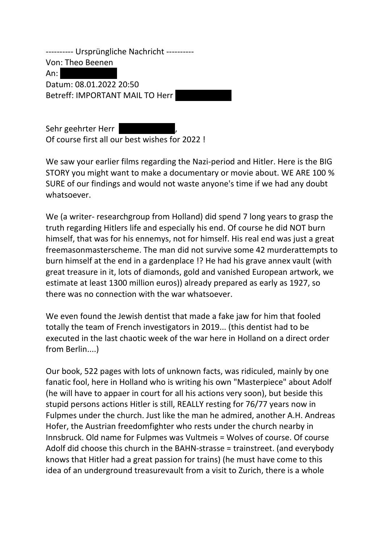---------- Ursprüngliche Nachricht ---------- Von: Theo Beenen  $An:$ Datum: 08.01.2022 20:50 Betreff: IMPORTANT MAIL TO Herr

Sehr geehrter Herr Of course first all our best wishes for 2022 !

We saw your earlier films regarding the Nazi-period and Hitler. Here is the BIG STORY you might want to make a documentary or movie about. WE ARE 100 % SURE of our findings and would not waste anyone's time if we had any doubt whatsoever.

We (a writer- researchgroup from Holland) did spend 7 long years to grasp the truth regarding Hitlers life and especially his end. Of course he did NOT burn himself, that was for his ennemys, not for himself. His real end was just a great freemasonmasterscheme. The man did not survive some 42 murderattempts to burn himself at the end in a gardenplace !? He had his grave annex vault (with great treasure in it, lots of diamonds, gold and vanished European artwork, we estimate at least 1300 million euros)) already prepared as early as 1927, so there was no connection with the war whatsoever.

We even found the Jewish dentist that made a fake jaw for him that fooled totally the team of French investigators in 2019... (this dentist had to be executed in the last chaotic week of the war here in Holland on a direct order from Berlin....)

Our book, 522 pages with lots of unknown facts, was ridiculed, mainly by one fanatic fool, here in Holland who is writing his own "Masterpiece" about Adolf (he will have to appaer in court for all his actions very soon), but beside this stupid persons actions Hitler is still, REALLY resting for 76/77 years now in Fulpmes under the church. Just like the man he admired, another A.H. Andreas Hofer, the Austrian freedomfighter who rests under the church nearby in Innsbruck. Old name for Fulpmes was Vultmeis = Wolves of course. Of course Adolf did choose this church in the BAHN-strasse = trainstreet. (and everybody knows that Hitler had a great passion for trains) (he must have come to this idea of an underground treasurevault from a visit to Zurich, there is a whole